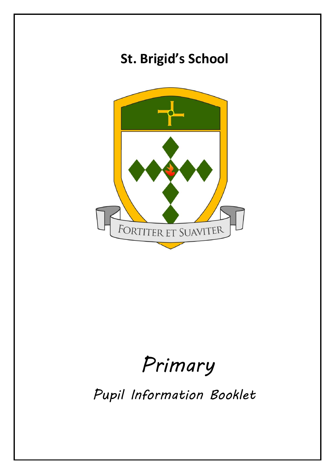

# *Primary*

*Pupil Information Booklet*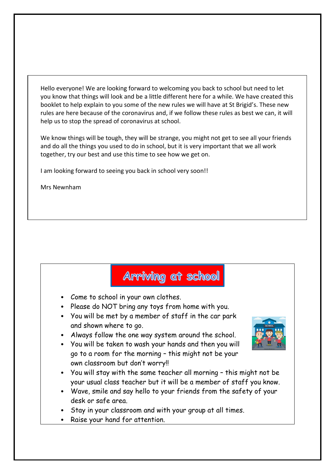Hello everyone! We are looking forward to welcoming you back to school but need to let you know that things will look and be a little different here for a while. We have created this booklet to help explain to you some of the new rules we will have at St Brigid's. These new rules are here because of the coronavirus and, if we follow these rules as best we can, it will help us to stop the spread of coronavirus at school.

We know things will be tough, they will be strange, you might not get to see all your friends and do all the things you used to do in school, but it is very important that we all work together, try our best and use this time to see how we get on.

I am looking forward to seeing you back in school very soon!!

Mrs Newnham

#### Arriving at school

- Come to school in your own clothes.
- Please do NOT bring any toys from home with you.
- You will be met by a member of staff in the car park and shown where to go.
- Always follow the one way system around the school.
- You will be taken to wash your hands and then you will go to a room for the morning – this might not be your own classroom but don't worry!!
- You will stay with the same teacher all morning this might not be your usual class teacher but it will be a member of staff you know.
- Wave, smile and say hello to your friends from the safety of your desk or safe area.
- Stay in your classroom and with your group at all times.
- Raise your hand for attention.

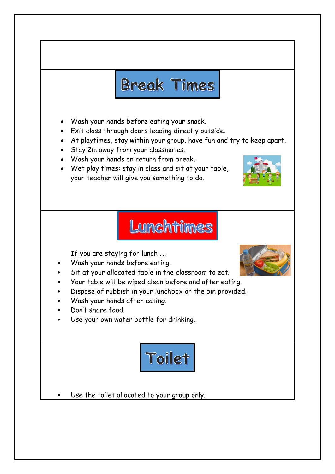## **Break Times**

- Wash your hands before eating your snack.
- Exit class through doors leading directly outside.
- At playtimes, stay within your group, have fun and try to keep apart.
- Stay 2m away from your classmates.
- Wash your hands on return from break.
- Wet play times: stay in class and sit at your table, your teacher will give you something to do.



### Lunchtimes

If you are staying for lunch ….

- Wash your hands before eating.
- Sit at your allocated table in the classroom to eat.
- Your table will be wiped clean before and after eating.
- Dispose of rubbish in your lunchbox or the bin provided.
- Wash your hands after eating.
- Don't share food.
- Use your own water bottle for drinking.



Use the toilet allocated to your group only.

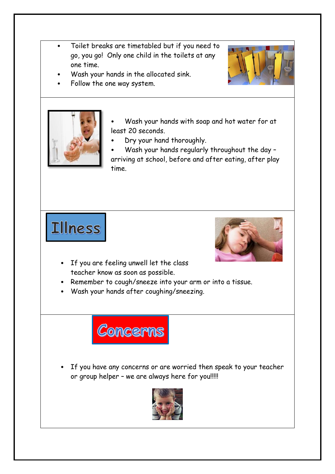- Toilet breaks are timetabled but if you need to go, you go! Only one child in the toilets at any one time.
	- Wash your hands in the allocated sink.
- Follow the one way system.



- Wash your hands with soap and hot water for at least 20 seconds.
- Dry your hand thoroughly.
- Wash your hands regularly throughout the day arriving at school, before and after eating, after play time.

Illness



- If you are feeling unwell let the class teacher know as soon as possible.
- Remember to cough/sneeze into your arm or into a tissue.
- Wash your hands after coughing/sneezing.



If you have any concerns or are worried then speak to your teacher or group helper – we are always here for you!!!!!